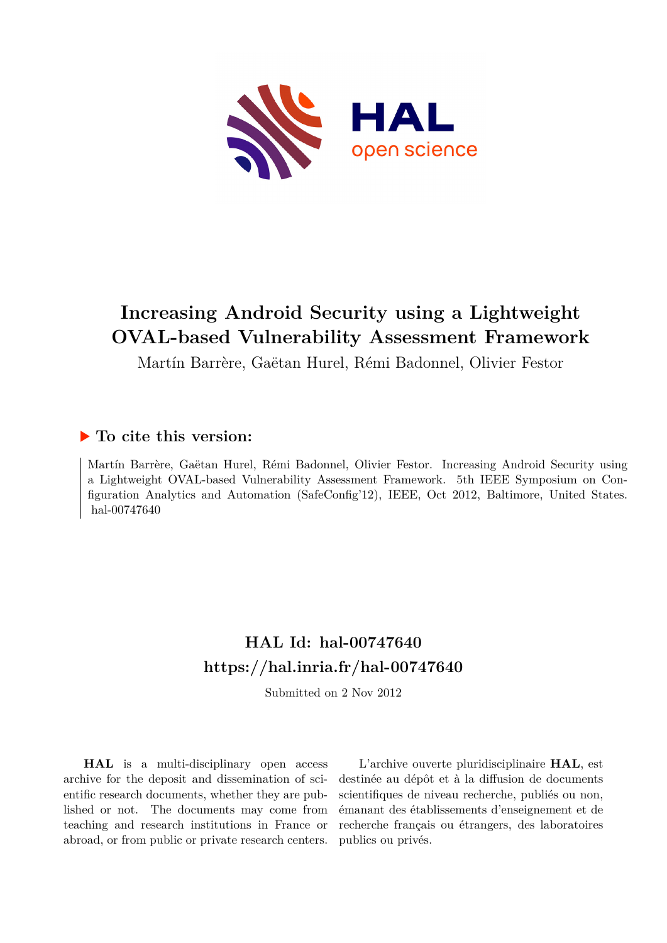

## **Increasing Android Security using a Lightweight OVAL-based Vulnerability Assessment Framework**

Martín Barrère, Gaëtan Hurel, Rémi Badonnel, Olivier Festor

### **To cite this version:**

Martín Barrère, Gaëtan Hurel, Rémi Badonnel, Olivier Festor. Increasing Android Security using a Lightweight OVAL-based Vulnerability Assessment Framework. 5th IEEE Symposium on Configuration Analytics and Automation (SafeConfig'12), IEEE, Oct 2012, Baltimore, United States. hal-00747640

## **HAL Id: hal-00747640 <https://hal.inria.fr/hal-00747640>**

Submitted on 2 Nov 2012

**HAL** is a multi-disciplinary open access archive for the deposit and dissemination of scientific research documents, whether they are published or not. The documents may come from teaching and research institutions in France or abroad, or from public or private research centers.

L'archive ouverte pluridisciplinaire **HAL**, est destinée au dépôt et à la diffusion de documents scientifiques de niveau recherche, publiés ou non, émanant des établissements d'enseignement et de recherche français ou étrangers, des laboratoires publics ou privés.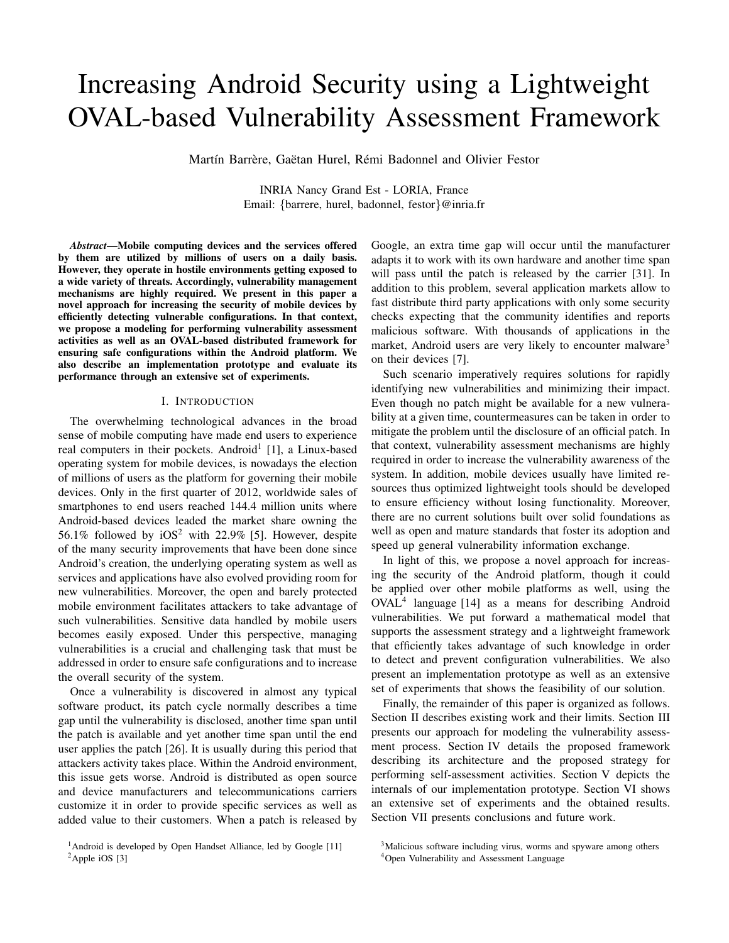# Increasing Android Security using a Lightweight OVAL-based Vulnerability Assessment Framework

Martín Barrère, Gaëtan Hurel, Rémi Badonnel and Olivier Festor

INRIA Nancy Grand Est - LORIA, France Email: {barrere, hurel, badonnel, festor}@inria.fr

*Abstract*—Mobile computing devices and the services offered by them are utilized by millions of users on a daily basis. However, they operate in hostile environments getting exposed to a wide variety of threats. Accordingly, vulnerability management mechanisms are highly required. We present in this paper a novel approach for increasing the security of mobile devices by efficiently detecting vulnerable configurations. In that context, we propose a modeling for performing vulnerability assessment activities as well as an OVAL-based distributed framework for ensuring safe configurations within the Android platform. We also describe an implementation prototype and evaluate its performance through an extensive set of experiments.

#### I. INTRODUCTION

The overwhelming technological advances in the broad sense of mobile computing have made end users to experience real computers in their pockets. Android<sup>1</sup> [1], a Linux-based operating system for mobile devices, is nowadays the election of millions of users as the platform for governing their mobile devices. Only in the first quarter of 2012, worldwide sales of smartphones to end users reached 144.4 million units where Android-based devices leaded the market share owning the 56.1% followed by  $iOS<sup>2</sup>$  with 22.9% [5]. However, despite of the many security improvements that have been done since Android's creation, the underlying operating system as well as services and applications have also evolved providing room for new vulnerabilities. Moreover, the open and barely protected mobile environment facilitates attackers to take advantage of such vulnerabilities. Sensitive data handled by mobile users becomes easily exposed. Under this perspective, managing vulnerabilities is a crucial and challenging task that must be addressed in order to ensure safe configurations and to increase the overall security of the system.

Once a vulnerability is discovered in almost any typical software product, its patch cycle normally describes a time gap until the vulnerability is disclosed, another time span until the patch is available and yet another time span until the end user applies the patch [26]. It is usually during this period that attackers activity takes place. Within the Android environment, this issue gets worse. Android is distributed as open source and device manufacturers and telecommunications carriers customize it in order to provide specific services as well as added value to their customers. When a patch is released by Google, an extra time gap will occur until the manufacturer adapts it to work with its own hardware and another time span will pass until the patch is released by the carrier [31]. In addition to this problem, several application markets allow to fast distribute third party applications with only some security checks expecting that the community identifies and reports malicious software. With thousands of applications in the market, Android users are very likely to encounter malware<sup>3</sup> on their devices [7].

Such scenario imperatively requires solutions for rapidly identifying new vulnerabilities and minimizing their impact. Even though no patch might be available for a new vulnerability at a given time, countermeasures can be taken in order to mitigate the problem until the disclosure of an official patch. In that context, vulnerability assessment mechanisms are highly required in order to increase the vulnerability awareness of the system. In addition, mobile devices usually have limited resources thus optimized lightweight tools should be developed to ensure efficiency without losing functionality. Moreover, there are no current solutions built over solid foundations as well as open and mature standards that foster its adoption and speed up general vulnerability information exchange.

In light of this, we propose a novel approach for increasing the security of the Android platform, though it could be applied over other mobile platforms as well, using the OVAL<sup>4</sup> language [14] as a means for describing Android vulnerabilities. We put forward a mathematical model that supports the assessment strategy and a lightweight framework that efficiently takes advantage of such knowledge in order to detect and prevent configuration vulnerabilities. We also present an implementation prototype as well as an extensive set of experiments that shows the feasibility of our solution.

Finally, the remainder of this paper is organized as follows. Section II describes existing work and their limits. Section III presents our approach for modeling the vulnerability assessment process. Section IV details the proposed framework describing its architecture and the proposed strategy for performing self-assessment activities. Section V depicts the internals of our implementation prototype. Section VI shows an extensive set of experiments and the obtained results. Section VII presents conclusions and future work.

<sup>&</sup>lt;sup>1</sup> Android is developed by Open Handset Alliance, led by Google [11]

<sup>&</sup>lt;sup>2</sup>Apple iOS [3]

<sup>3</sup>Malicious software including virus, worms and spyware among others <sup>4</sup>Open Vulnerability and Assessment Language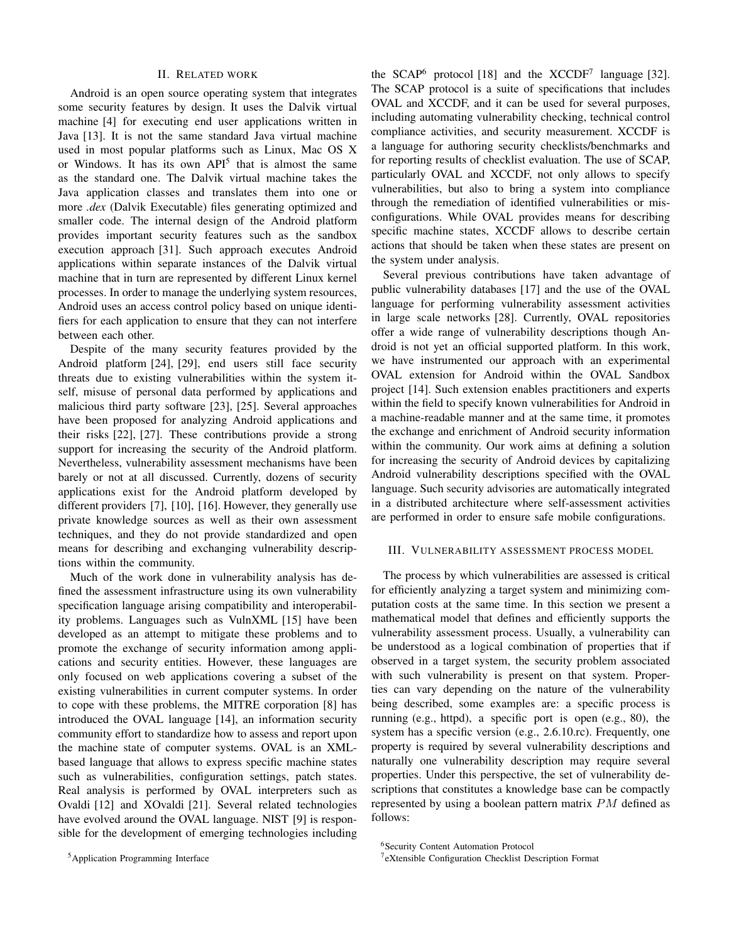#### II. RELATED WORK

Android is an open source operating system that integrates some security features by design. It uses the Dalvik virtual machine [4] for executing end user applications written in Java [13]. It is not the same standard Java virtual machine used in most popular platforms such as Linux, Mac OS X or Windows. It has its own API<sup>5</sup> that is almost the same as the standard one. The Dalvik virtual machine takes the Java application classes and translates them into one or more *.dex* (Dalvik Executable) files generating optimized and smaller code. The internal design of the Android platform provides important security features such as the sandbox execution approach [31]. Such approach executes Android applications within separate instances of the Dalvik virtual machine that in turn are represented by different Linux kernel processes. In order to manage the underlying system resources, Android uses an access control policy based on unique identifiers for each application to ensure that they can not interfere between each other.

Despite of the many security features provided by the Android platform [24], [29], end users still face security threats due to existing vulnerabilities within the system itself, misuse of personal data performed by applications and malicious third party software [23], [25]. Several approaches have been proposed for analyzing Android applications and their risks [22], [27]. These contributions provide a strong support for increasing the security of the Android platform. Nevertheless, vulnerability assessment mechanisms have been barely or not at all discussed. Currently, dozens of security applications exist for the Android platform developed by different providers [7], [10], [16]. However, they generally use private knowledge sources as well as their own assessment techniques, and they do not provide standardized and open means for describing and exchanging vulnerability descriptions within the community.

Much of the work done in vulnerability analysis has defined the assessment infrastructure using its own vulnerability specification language arising compatibility and interoperability problems. Languages such as VulnXML [15] have been developed as an attempt to mitigate these problems and to promote the exchange of security information among applications and security entities. However, these languages are only focused on web applications covering a subset of the existing vulnerabilities in current computer systems. In order to cope with these problems, the MITRE corporation [8] has introduced the OVAL language [14], an information security community effort to standardize how to assess and report upon the machine state of computer systems. OVAL is an XMLbased language that allows to express specific machine states such as vulnerabilities, configuration settings, patch states. Real analysis is performed by OVAL interpreters such as Ovaldi [12] and XOvaldi [21]. Several related technologies have evolved around the OVAL language. NIST [9] is responsible for the development of emerging technologies including

the SCAP<sup>6</sup> protocol [18] and the XCCDF<sup>7</sup> language [32]. The SCAP protocol is a suite of specifications that includes OVAL and XCCDF, and it can be used for several purposes, including automating vulnerability checking, technical control compliance activities, and security measurement. XCCDF is a language for authoring security checklists/benchmarks and for reporting results of checklist evaluation. The use of SCAP, particularly OVAL and XCCDF, not only allows to specify vulnerabilities, but also to bring a system into compliance through the remediation of identified vulnerabilities or misconfigurations. While OVAL provides means for describing specific machine states, XCCDF allows to describe certain actions that should be taken when these states are present on the system under analysis.

Several previous contributions have taken advantage of public vulnerability databases [17] and the use of the OVAL language for performing vulnerability assessment activities in large scale networks [28]. Currently, OVAL repositories offer a wide range of vulnerability descriptions though Android is not yet an official supported platform. In this work, we have instrumented our approach with an experimental OVAL extension for Android within the OVAL Sandbox project [14]. Such extension enables practitioners and experts within the field to specify known vulnerabilities for Android in a machine-readable manner and at the same time, it promotes the exchange and enrichment of Android security information within the community. Our work aims at defining a solution for increasing the security of Android devices by capitalizing Android vulnerability descriptions specified with the OVAL language. Such security advisories are automatically integrated in a distributed architecture where self-assessment activities are performed in order to ensure safe mobile configurations.

#### III. VULNERABILITY ASSESSMENT PROCESS MODEL

The process by which vulnerabilities are assessed is critical for efficiently analyzing a target system and minimizing computation costs at the same time. In this section we present a mathematical model that defines and efficiently supports the vulnerability assessment process. Usually, a vulnerability can be understood as a logical combination of properties that if observed in a target system, the security problem associated with such vulnerability is present on that system. Properties can vary depending on the nature of the vulnerability being described, some examples are: a specific process is running (e.g., httpd), a specific port is open (e.g., 80), the system has a specific version (e.g., 2.6.10.rc). Frequently, one property is required by several vulnerability descriptions and naturally one vulnerability description may require several properties. Under this perspective, the set of vulnerability descriptions that constitutes a knowledge base can be compactly represented by using a boolean pattern matrix PM defined as follows:

<sup>5</sup>Application Programming Interface

<sup>6</sup>Security Content Automation Protocol

<sup>7</sup> eXtensible Configuration Checklist Description Format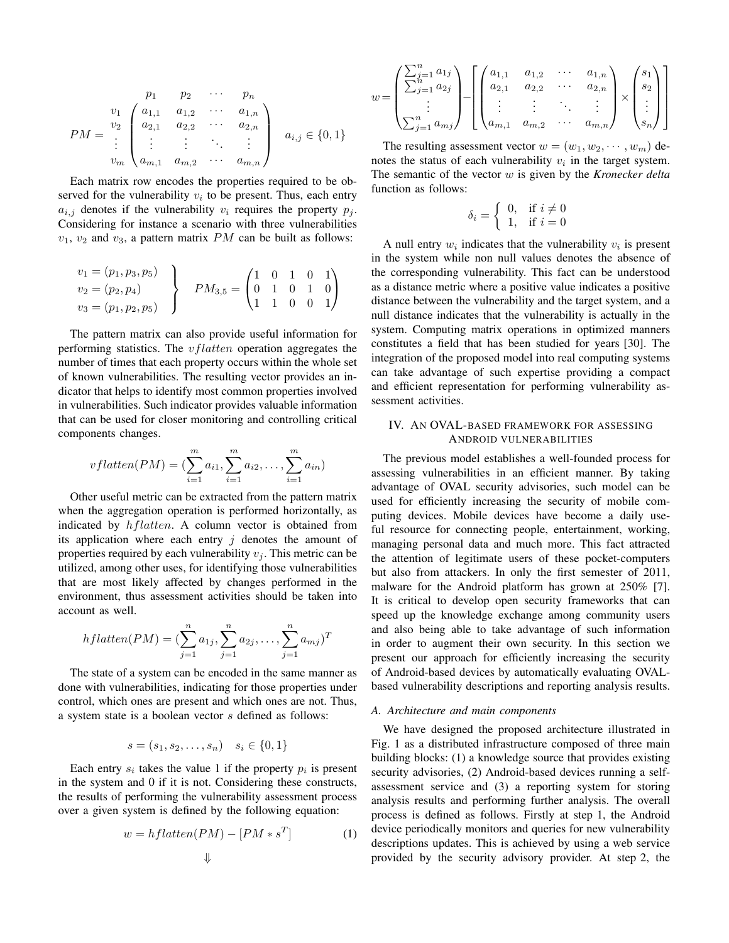$$
PM = \begin{pmatrix} p_1 & p_2 & \cdots & p_n \\ v_1 & a_{1,1} & a_{1,2} & \cdots & a_{1,n} \\ a_{2,1} & a_{2,2} & \cdots & a_{2,n} \\ \vdots & \vdots & \ddots & \vdots \\ a_{m,1} & a_{m,2} & \cdots & a_{m,n} \end{pmatrix} \quad a_{i,j} \in \{0, 1\}
$$

Each matrix row encodes the properties required to be observed for the vulnerability  $v_i$  to be present. Thus, each entry  $a_{i,j}$  denotes if the vulnerability  $v_i$  requires the property  $p_j$ . Considering for instance a scenario with three vulnerabilities  $v_1$ ,  $v_2$  and  $v_3$ , a pattern matrix PM can be built as follows:

$$
\begin{array}{c}\nv_1 = (p_1, p_3, p_5) \\
v_2 = (p_2, p_4) \\
v_3 = (p_1, p_2, p_5)\n\end{array}\n\bigg\} \quad PM_{3,5} = \begin{pmatrix}\n1 & 0 & 1 & 0 & 1 \\
0 & 1 & 0 & 1 & 0 \\
1 & 1 & 0 & 0 & 1\n\end{pmatrix}
$$

The pattern matrix can also provide useful information for performing statistics. The  $vflatten$  operation aggregates the number of times that each property occurs within the whole set of known vulnerabilities. The resulting vector provides an indicator that helps to identify most common properties involved in vulnerabilities. Such indicator provides valuable information that can be used for closer monitoring and controlling critical components changes.

$$
vflatten(PM) = (\sum_{i=1}^{m} a_{i1}, \sum_{i=1}^{m} a_{i2}, \dots, \sum_{i=1}^{m} a_{in})
$$

Other useful metric can be extracted from the pattern matrix when the aggregation operation is performed horizontally, as indicated by hflatten. A column vector is obtained from its application where each entry  $j$  denotes the amount of properties required by each vulnerability  $v_i$ . This metric can be utilized, among other uses, for identifying those vulnerabilities that are most likely affected by changes performed in the environment, thus assessment activities should be taken into account as well.

$$
hflatten(PM) = (\sum_{j=1}^{n} a_{1j}, \sum_{j=1}^{n} a_{2j}, \dots, \sum_{j=1}^{n} a_{mj})^{T}
$$

The state of a system can be encoded in the same manner as done with vulnerabilities, indicating for those properties under control, which ones are present and which ones are not. Thus, a system state is a boolean vector s defined as follows:

$$
s = (s_1, s_2, \dots, s_n) \quad s_i \in \{0, 1\}
$$

Each entry  $s_i$  takes the value 1 if the property  $p_i$  is present in the system and 0 if it is not. Considering these constructs, the results of performing the vulnerability assessment process over a given system is defined by the following equation:

$$
w = hflatten(PM) - [PM * sT] \tag{1}
$$

$$
w = \begin{pmatrix} \sum_{j=1}^{n} a_{1j} \\ \sum_{j=1}^{n} a_{2j} \\ \vdots \\ \sum_{j=1}^{n} a_{mj} \end{pmatrix} - \begin{bmatrix} a_{1,1} & a_{1,2} & \cdots & a_{1,n} \\ a_{2,1} & a_{2,2} & \cdots & a_{2,n} \\ \vdots & \vdots & \ddots & \vdots \\ a_{m,1} & a_{m,2} & \cdots & a_{m,n} \end{bmatrix} \times \begin{pmatrix} s_1 \\ s_2 \\ \vdots \\ s_n \end{pmatrix}
$$

The resulting assessment vector  $w = (w_1, w_2, \dots, w_m)$  denotes the status of each vulnerability  $v_i$  in the target system. The semantic of the vector w is given by the *Kronecker delta* function as follows:

$$
\delta_i = \begin{cases} 0, & \text{if } i \neq 0 \\ 1, & \text{if } i = 0 \end{cases}
$$

A null entry  $w_i$  indicates that the vulnerability  $v_i$  is present in the system while non null values denotes the absence of the corresponding vulnerability. This fact can be understood as a distance metric where a positive value indicates a positive distance between the vulnerability and the target system, and a null distance indicates that the vulnerability is actually in the system. Computing matrix operations in optimized manners constitutes a field that has been studied for years [30]. The integration of the proposed model into real computing systems can take advantage of such expertise providing a compact and efficient representation for performing vulnerability assessment activities.

#### IV. AN OVAL-BASED FRAMEWORK FOR ASSESSING ANDROID VULNERABILITIES

The previous model establishes a well-founded process for assessing vulnerabilities in an efficient manner. By taking advantage of OVAL security advisories, such model can be used for efficiently increasing the security of mobile computing devices. Mobile devices have become a daily useful resource for connecting people, entertainment, working, managing personal data and much more. This fact attracted the attention of legitimate users of these pocket-computers but also from attackers. In only the first semester of 2011, malware for the Android platform has grown at 250% [7]. It is critical to develop open security frameworks that can speed up the knowledge exchange among community users and also being able to take advantage of such information in order to augment their own security. In this section we present our approach for efficiently increasing the security of Android-based devices by automatically evaluating OVALbased vulnerability descriptions and reporting analysis results.

#### *A. Architecture and main components*

We have designed the proposed architecture illustrated in Fig. 1 as a distributed infrastructure composed of three main building blocks: (1) a knowledge source that provides existing security advisories, (2) Android-based devices running a selfassessment service and (3) a reporting system for storing analysis results and performing further analysis. The overall process is defined as follows. Firstly at step 1, the Android device periodically monitors and queries for new vulnerability descriptions updates. This is achieved by using a web service provided by the security advisory provider. At step 2, the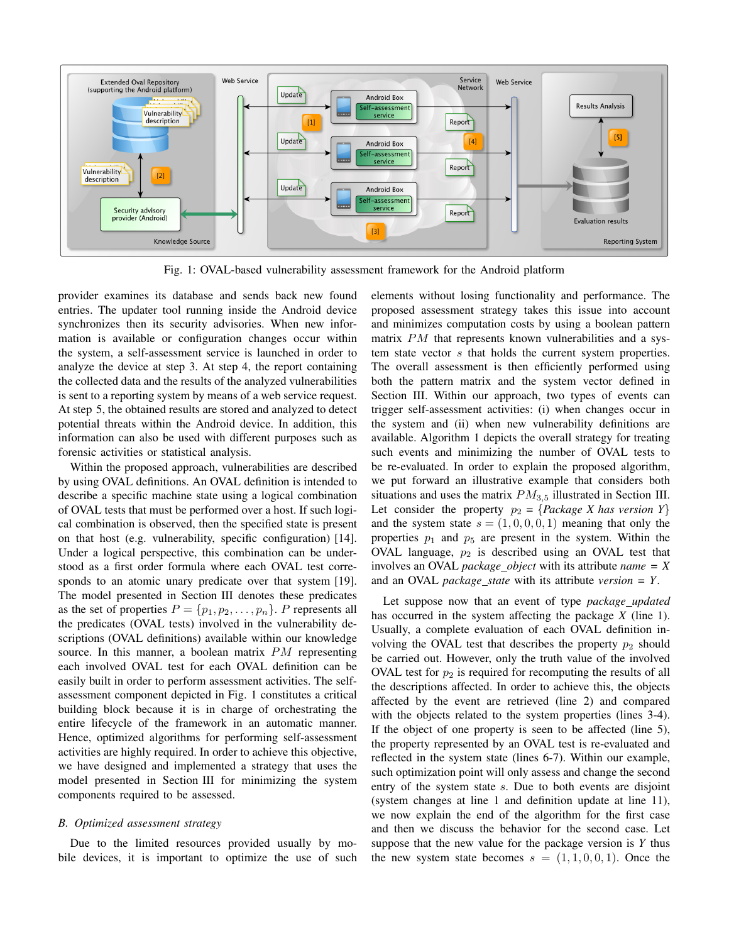

Fig. 1: OVAL-based vulnerability assessment framework for the Android platform

provider examines its database and sends back new found entries. The updater tool running inside the Android device synchronizes then its security advisories. When new information is available or configuration changes occur within the system, a self-assessment service is launched in order to analyze the device at step 3. At step 4, the report containing the collected data and the results of the analyzed vulnerabilities is sent to a reporting system by means of a web service request. At step 5, the obtained results are stored and analyzed to detect potential threats within the Android device. In addition, this information can also be used with different purposes such as forensic activities or statistical analysis.

Within the proposed approach, vulnerabilities are described by using OVAL definitions. An OVAL definition is intended to describe a specific machine state using a logical combination of OVAL tests that must be performed over a host. If such logical combination is observed, then the specified state is present on that host (e.g. vulnerability, specific configuration) [14]. Under a logical perspective, this combination can be understood as a first order formula where each OVAL test corresponds to an atomic unary predicate over that system [19]. The model presented in Section III denotes these predicates as the set of properties  $P = \{p_1, p_2, \ldots, p_n\}$ . P represents all the predicates (OVAL tests) involved in the vulnerability descriptions (OVAL definitions) available within our knowledge source. In this manner, a boolean matrix PM representing each involved OVAL test for each OVAL definition can be easily built in order to perform assessment activities. The selfassessment component depicted in Fig. 1 constitutes a critical building block because it is in charge of orchestrating the entire lifecycle of the framework in an automatic manner. Hence, optimized algorithms for performing self-assessment activities are highly required. In order to achieve this objective, we have designed and implemented a strategy that uses the model presented in Section III for minimizing the system components required to be assessed.

#### *B. Optimized assessment strategy*

Due to the limited resources provided usually by mobile devices, it is important to optimize the use of such elements without losing functionality and performance. The proposed assessment strategy takes this issue into account and minimizes computation costs by using a boolean pattern matrix PM that represents known vulnerabilities and a system state vector s that holds the current system properties. The overall assessment is then efficiently performed using both the pattern matrix and the system vector defined in Section III. Within our approach, two types of events can trigger self-assessment activities: (i) when changes occur in the system and (ii) when new vulnerability definitions are available. Algorithm 1 depicts the overall strategy for treating such events and minimizing the number of OVAL tests to be re-evaluated. In order to explain the proposed algorithm, we put forward an illustrative example that considers both situations and uses the matrix  $PM_{3,5}$  illustrated in Section III. Let consider the property  $p_2 = \{PackP}$  *Package X has version Y* and the system state  $s = (1, 0, 0, 0, 1)$  meaning that only the properties  $p_1$  and  $p_5$  are present in the system. Within the OVAL language,  $p_2$  is described using an OVAL test that involves an OVAL *package object* with its attribute *name = X* and an OVAL *package state* with its attribute *version = Y*.

Let suppose now that an event of type *package updated* has occurred in the system affecting the package *X* (line 1). Usually, a complete evaluation of each OVAL definition involving the OVAL test that describes the property  $p_2$  should be carried out. However, only the truth value of the involved OVAL test for  $p_2$  is required for recomputing the results of all the descriptions affected. In order to achieve this, the objects affected by the event are retrieved (line 2) and compared with the objects related to the system properties (lines 3-4). If the object of one property is seen to be affected (line 5), the property represented by an OVAL test is re-evaluated and reflected in the system state (lines 6-7). Within our example, such optimization point will only assess and change the second entry of the system state s. Due to both events are disjoint (system changes at line 1 and definition update at line 11), we now explain the end of the algorithm for the first case and then we discuss the behavior for the second case. Let suppose that the new value for the package version is *Y* thus the new system state becomes  $s = (1, 1, 0, 0, 1)$ . Once the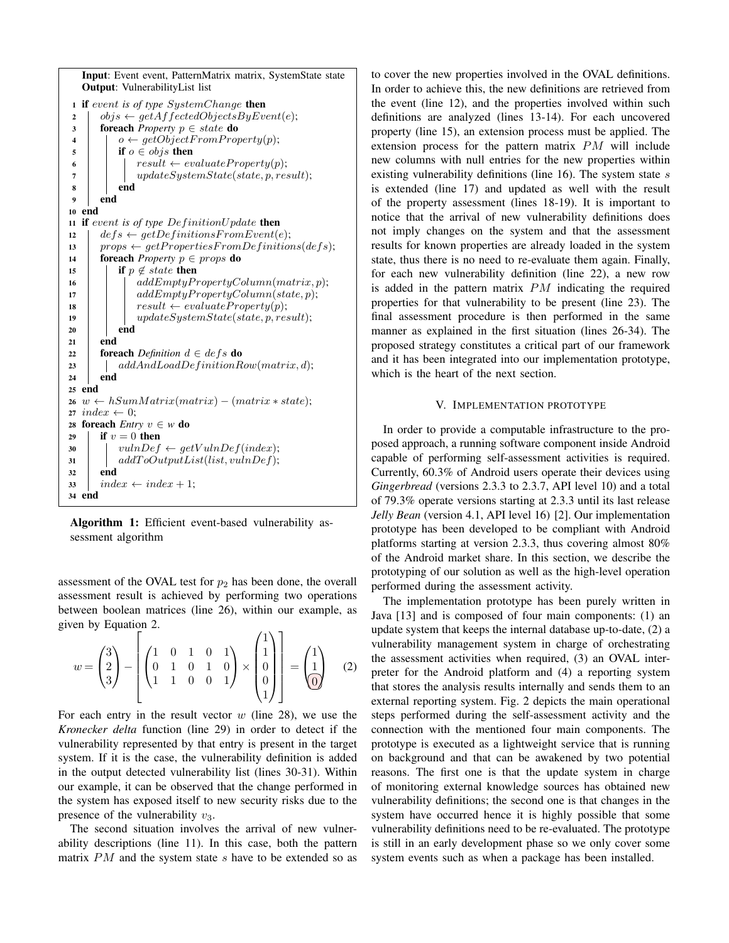|              | Input: Event event, PatternMatrix matrix, SystemState state        |
|--------------|--------------------------------------------------------------------|
|              | <b>Output:</b> Vulnerability List list                             |
| 1            | <b>if</b> event is of type $SystemChange$ <b>then</b>              |
| $\mathbf{2}$ | $objs \leftarrow getAffectedObjectsByEvent(e);$                    |
| 3            | <b>foreach</b> <i>Property</i> $p \in state$ <b>do</b>             |
| 4            | $o \leftarrow getObjectFromProperty(p);$                           |
| 5            | if $o \in objs$ then                                               |
| 6            | $result \leftarrow evaluateProperty(p);$                           |
| 7            | updateSystemState(state, p, result);                               |
| 8            | end                                                                |
| 9            | end                                                                |
| 10           | end                                                                |
| 11           | <b>if</b> event is of type $DefinitionUpdate$ <b>then</b>          |
| 12           | $defs \leftarrow getDefinitionsFromEvent(e);$                      |
| 13           | $props \leftarrow getPropertiesFromDefinitions(defs);$             |
| 14           | <b>foreach</b> <i>Property</i> $p \in$ <i>props</i> <b>do</b>      |
| 15           | if $p \notin state$ then                                           |
| 16           | addEmptyPropertyColumn(matrix, p);                                 |
| 17           | addEmptyPropertyColumn(state, p);                                  |
| 18           | $result \leftarrow evaluateProperty(p);$                           |
| 19           | updateSystemState(state, p, result);                               |
| 20           | end                                                                |
| 21           | end                                                                |
| 22           | <b>foreach</b> Definition $d \in \text{def } s$ <b>do</b>          |
| 23           | addAndLoadDefinitionRow(matrix, d);                                |
| 24           | end                                                                |
| 25           | end                                                                |
| 26           | $w \leftarrow hSumMatrix(matrix) - (matrix * state);$              |
| 27           | index $\leftarrow 0$ ;                                             |
| 28           | <b>foreach</b> <i>Entry</i> $v \in w$ <b>do</b><br>if $v = 0$ then |
| 29           |                                                                    |
| 30           | $vulnDef \leftarrow getVulnDef/index);$                            |
| 31<br>32     | addToOutputList(list, vuhDef);<br>end                              |
| 33           | $index \leftarrow index + 1;$                                      |
| 34           | end                                                                |
|              |                                                                    |

Algorithm 1: Efficient event-based vulnerability assessment algorithm

assessment of the OVAL test for  $p_2$  has been done, the overall assessment result is achieved by performing two operations between boolean matrices (line 26), within our example, as given by Equation 2.

$$
w = \begin{pmatrix} 3 \\ 2 \\ 3 \end{pmatrix} - \begin{bmatrix} 1 & 0 & 1 & 0 & 1 \\ 0 & 1 & 0 & 1 & 0 \\ 1 & 1 & 0 & 0 & 1 \end{bmatrix} \times \begin{pmatrix} 1 \\ 1 \\ 0 \\ 0 \\ 1 \end{pmatrix} = \begin{pmatrix} 1 \\ 1 \\ 0 \\ 0 \end{pmatrix}
$$
 (2)

For each entry in the result vector  $w$  (line 28), we use the *Kronecker delta* function (line 29) in order to detect if the vulnerability represented by that entry is present in the target system. If it is the case, the vulnerability definition is added in the output detected vulnerability list (lines 30-31). Within our example, it can be observed that the change performed in the system has exposed itself to new security risks due to the presence of the vulnerability  $v_3$ .

The second situation involves the arrival of new vulnerability descriptions (line 11). In this case, both the pattern matrix  $PM$  and the system state  $s$  have to be extended so as to cover the new properties involved in the OVAL definitions. In order to achieve this, the new definitions are retrieved from the event (line 12), and the properties involved within such definitions are analyzed (lines 13-14). For each uncovered property (line 15), an extension process must be applied. The extension process for the pattern matrix PM will include new columns with null entries for the new properties within existing vulnerability definitions (line 16). The system state s is extended (line 17) and updated as well with the result of the property assessment (lines 18-19). It is important to notice that the arrival of new vulnerability definitions does not imply changes on the system and that the assessment results for known properties are already loaded in the system state, thus there is no need to re-evaluate them again. Finally, for each new vulnerability definition (line 22), a new row is added in the pattern matrix  $PM$  indicating the required properties for that vulnerability to be present (line 23). The final assessment procedure is then performed in the same manner as explained in the first situation (lines 26-34). The proposed strategy constitutes a critical part of our framework and it has been integrated into our implementation prototype, which is the heart of the next section.

#### V. IMPLEMENTATION PROTOTYPE

In order to provide a computable infrastructure to the proposed approach, a running software component inside Android capable of performing self-assessment activities is required. Currently, 60.3% of Android users operate their devices using *Gingerbread* (versions 2.3.3 to 2.3.7, API level 10) and a total of 79.3% operate versions starting at 2.3.3 until its last release *Jelly Bean* (version 4.1, API level 16) [2]. Our implementation prototype has been developed to be compliant with Android platforms starting at version 2.3.3, thus covering almost 80% of the Android market share. In this section, we describe the prototyping of our solution as well as the high-level operation performed during the assessment activity.

The implementation prototype has been purely written in Java [13] and is composed of four main components: (1) an update system that keeps the internal database up-to-date, (2) a vulnerability management system in charge of orchestrating the assessment activities when required, (3) an OVAL interpreter for the Android platform and (4) a reporting system that stores the analysis results internally and sends them to an external reporting system. Fig. 2 depicts the main operational steps performed during the self-assessment activity and the connection with the mentioned four main components. The prototype is executed as a lightweight service that is running on background and that can be awakened by two potential reasons. The first one is that the update system in charge of monitoring external knowledge sources has obtained new vulnerability definitions; the second one is that changes in the system have occurred hence it is highly possible that some vulnerability definitions need to be re-evaluated. The prototype is still in an early development phase so we only cover some system events such as when a package has been installed.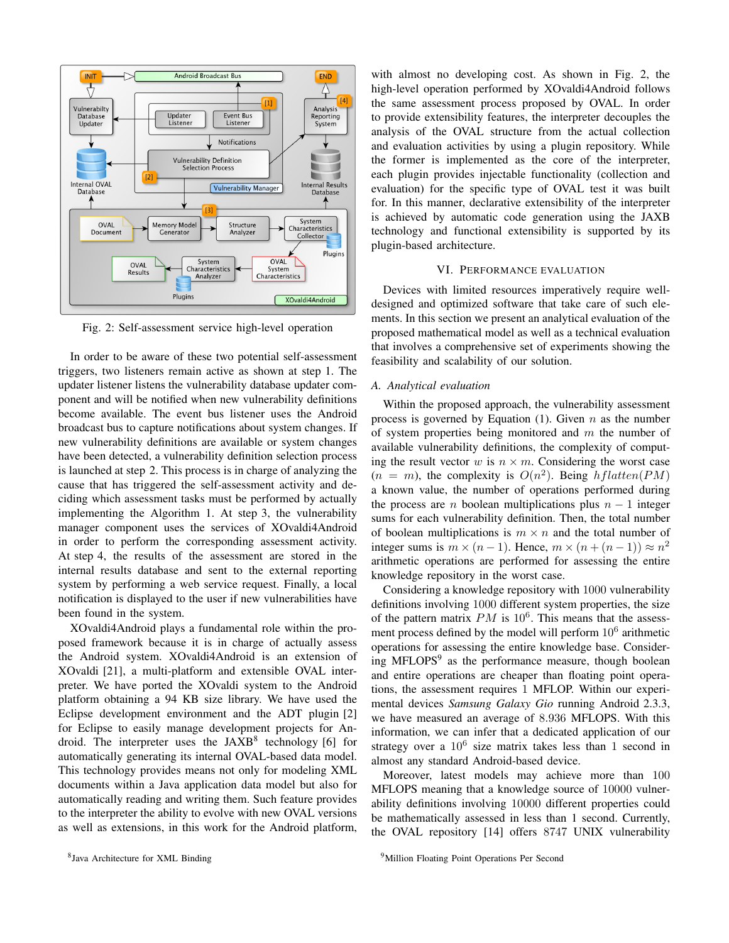

Fig. 2: Self-assessment service high-level operation

In order to be aware of these two potential self-assessment triggers, two listeners remain active as shown at step 1. The updater listener listens the vulnerability database updater component and will be notified when new vulnerability definitions become available. The event bus listener uses the Android broadcast bus to capture notifications about system changes. If new vulnerability definitions are available or system changes have been detected, a vulnerability definition selection process is launched at step 2. This process is in charge of analyzing the cause that has triggered the self-assessment activity and deciding which assessment tasks must be performed by actually implementing the Algorithm 1. At step 3, the vulnerability manager component uses the services of XOvaldi4Android in order to perform the corresponding assessment activity. At step 4, the results of the assessment are stored in the internal results database and sent to the external reporting system by performing a web service request. Finally, a local notification is displayed to the user if new vulnerabilities have been found in the system.

XOvaldi4Android plays a fundamental role within the proposed framework because it is in charge of actually assess the Android system. XOvaldi4Android is an extension of XOvaldi [21], a multi-platform and extensible OVAL interpreter. We have ported the XOvaldi system to the Android platform obtaining a 94 KB size library. We have used the Eclipse development environment and the ADT plugin [2] for Eclipse to easily manage development projects for Android. The interpreter uses the JAXB<sup>8</sup> technology [6] for automatically generating its internal OVAL-based data model. This technology provides means not only for modeling XML documents within a Java application data model but also for automatically reading and writing them. Such feature provides to the interpreter the ability to evolve with new OVAL versions as well as extensions, in this work for the Android platform,

with almost no developing cost. As shown in Fig. 2, the high-level operation performed by XOvaldi4Android follows the same assessment process proposed by OVAL. In order to provide extensibility features, the interpreter decouples the analysis of the OVAL structure from the actual collection and evaluation activities by using a plugin repository. While the former is implemented as the core of the interpreter, each plugin provides injectable functionality (collection and evaluation) for the specific type of OVAL test it was built for. In this manner, declarative extensibility of the interpreter is achieved by automatic code generation using the JAXB technology and functional extensibility is supported by its plugin-based architecture.

#### VI. PERFORMANCE EVALUATION

Devices with limited resources imperatively require welldesigned and optimized software that take care of such elements. In this section we present an analytical evaluation of the proposed mathematical model as well as a technical evaluation that involves a comprehensive set of experiments showing the feasibility and scalability of our solution.

#### *A. Analytical evaluation*

Within the proposed approach, the vulnerability assessment process is governed by Equation  $(1)$ . Given n as the number of system properties being monitored and  $m$  the number of available vulnerability definitions, the complexity of computing the result vector w is  $n \times m$ . Considering the worst case  $(n = m)$ , the complexity is  $O(n^2)$ . Being hflatten(PM) a known value, the number of operations performed during the process are *n* boolean multiplications plus  $n - 1$  integer sums for each vulnerability definition. Then, the total number of boolean multiplications is  $m \times n$  and the total number of integer sums is  $m \times (n-1)$ . Hence,  $m \times (n + (n-1)) \approx n^2$ arithmetic operations are performed for assessing the entire knowledge repository in the worst case.

Considering a knowledge repository with 1000 vulnerability definitions involving 1000 different system properties, the size of the pattern matrix  $PM$  is  $10^6$ . This means that the assessment process defined by the model will perform  $10^6$  arithmetic operations for assessing the entire knowledge base. Considering MFLOPS<sup>9</sup> as the performance measure, though boolean and entire operations are cheaper than floating point operations, the assessment requires 1 MFLOP. Within our experimental devices *Samsung Galaxy Gio* running Android 2.3.3, we have measured an average of 8.936 MFLOPS. With this information, we can infer that a dedicated application of our strategy over a  $10^6$  size matrix takes less than 1 second in almost any standard Android-based device.

Moreover, latest models may achieve more than 100 MFLOPS meaning that a knowledge source of 10000 vulnerability definitions involving 10000 different properties could be mathematically assessed in less than 1 second. Currently, the OVAL repository [14] offers 8747 UNIX vulnerability

<sup>8</sup> Java Architecture for XML Binding

<sup>&</sup>lt;sup>9</sup>Million Floating Point Operations Per Second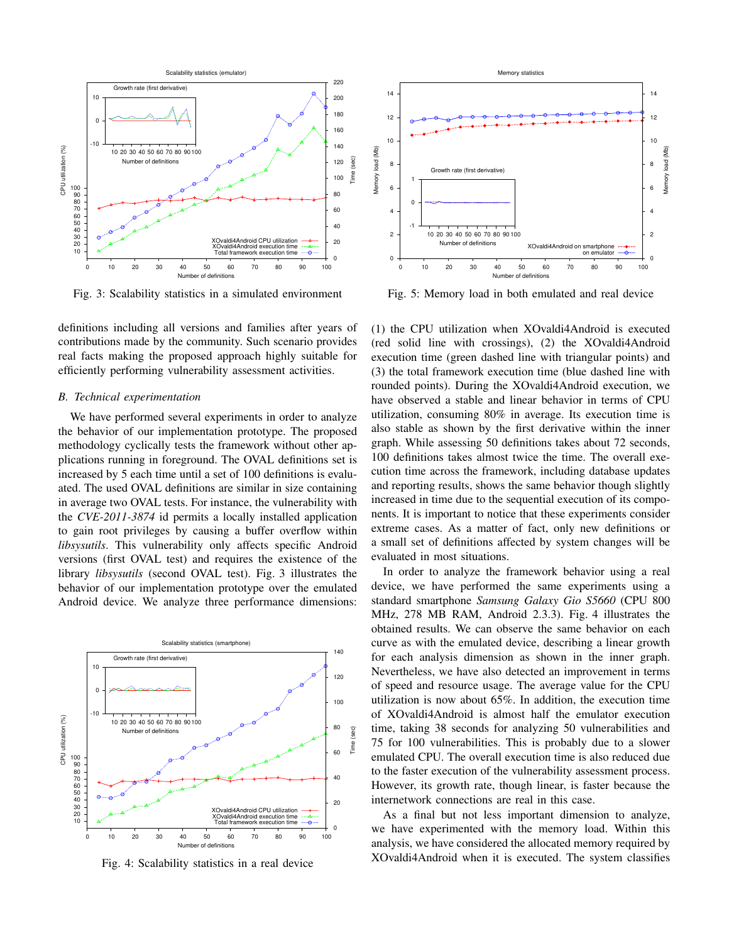

Fig. 3: Scalability statistics in a simulated environment

definitions including all versions and families after years of contributions made by the community. Such scenario provides real facts making the proposed approach highly suitable for efficiently performing vulnerability assessment activities.

#### *B. Technical experimentation*

We have performed several experiments in order to analyze the behavior of our implementation prototype. The proposed methodology cyclically tests the framework without other applications running in foreground. The OVAL definitions set is increased by 5 each time until a set of 100 definitions is evaluated. The used OVAL definitions are similar in size containing in average two OVAL tests. For instance, the vulnerability with the *CVE-2011-3874* id permits a locally installed application to gain root privileges by causing a buffer overflow within *libsysutils*. This vulnerability only affects specific Android versions (first OVAL test) and requires the existence of the library *libsysutils* (second OVAL test). Fig. 3 illustrates the behavior of our implementation prototype over the emulated Android device. We analyze three performance dimensions:



Fig. 4: Scalability statistics in a real device



Fig. 5: Memory load in both emulated and real device

(1) the CPU utilization when XOvaldi4Android is executed (red solid line with crossings), (2) the XOvaldi4Android execution time (green dashed line with triangular points) and (3) the total framework execution time (blue dashed line with rounded points). During the XOvaldi4Android execution, we have observed a stable and linear behavior in terms of CPU utilization, consuming 80% in average. Its execution time is also stable as shown by the first derivative within the inner graph. While assessing 50 definitions takes about 72 seconds, 100 definitions takes almost twice the time. The overall execution time across the framework, including database updates and reporting results, shows the same behavior though slightly increased in time due to the sequential execution of its components. It is important to notice that these experiments consider extreme cases. As a matter of fact, only new definitions or a small set of definitions affected by system changes will be evaluated in most situations.

In order to analyze the framework behavior using a real device, we have performed the same experiments using a standard smartphone *Samsung Galaxy Gio S5660* (CPU 800 MHz, 278 MB RAM, Android 2.3.3). Fig. 4 illustrates the obtained results. We can observe the same behavior on each curve as with the emulated device, describing a linear growth for each analysis dimension as shown in the inner graph. Nevertheless, we have also detected an improvement in terms of speed and resource usage. The average value for the CPU utilization is now about 65%. In addition, the execution time of XOvaldi4Android is almost half the emulator execution time, taking 38 seconds for analyzing 50 vulnerabilities and 75 for 100 vulnerabilities. This is probably due to a slower emulated CPU. The overall execution time is also reduced due to the faster execution of the vulnerability assessment process. However, its growth rate, though linear, is faster because the internetwork connections are real in this case.

As a final but not less important dimension to analyze, we have experimented with the memory load. Within this analysis, we have considered the allocated memory required by XOvaldi4Android when it is executed. The system classifies